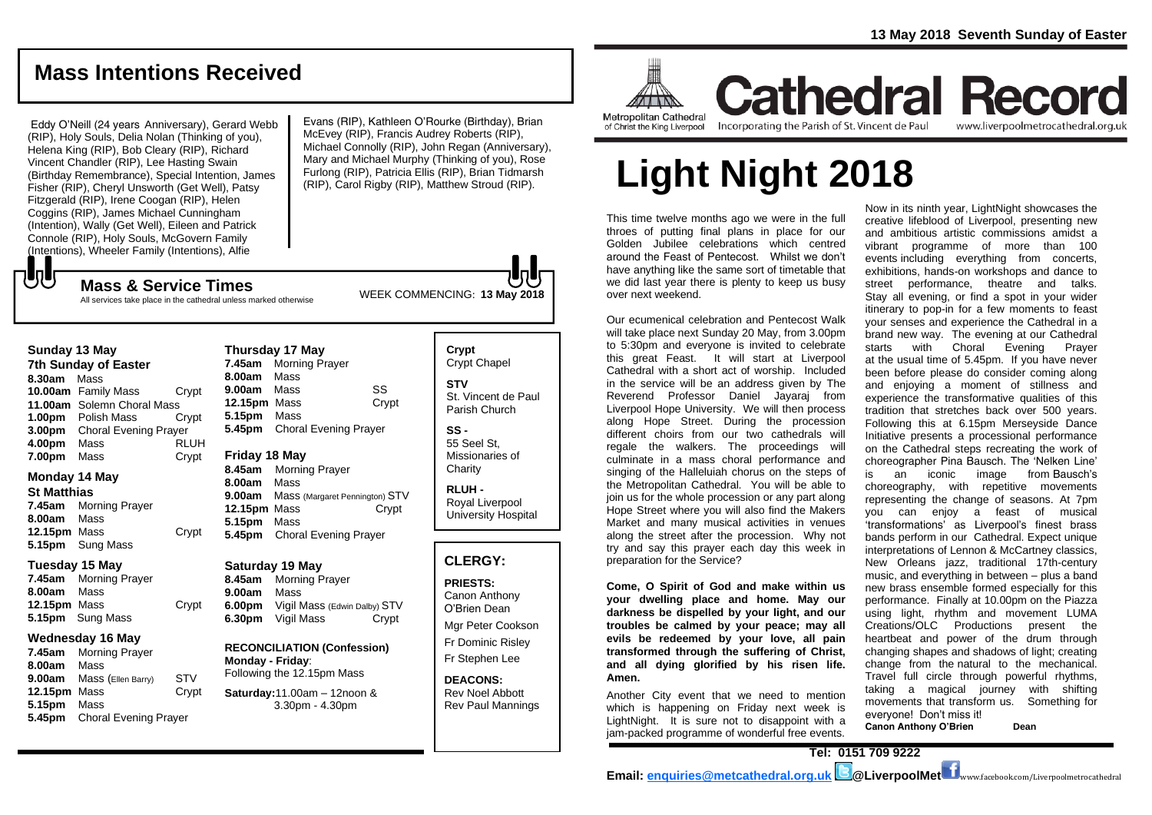## **Mass Intentions Received**

Eddy O'Neill (24 years Anniversary), Gerard Webb (RIP), Holy Souls, Delia Nolan (Thinking of you), Helena King (RIP), Bob Cleary (RIP), Richard Vincent Chandler (RIP), Lee Hasting Swain (Birthday Remembrance), Special Intention, James Fisher (RIP), Cheryl Unsworth (Get Well), Patsy Fitzgerald (RIP), Irene Coogan (RIP), Helen Coggins (RIP), James Michael Cunningham (Intention), Wally (Get Well), Eileen and Patrick Connole (RIP), Holy Souls, McGovern Family (Intentions), Wheeler Family (Intentions), Alfie

Evans (RIP), Kathleen O'Rourke (Birthday), Brian McEvey (RIP), Francis Audrey Roberts (RIP), Michael Connolly (RIP), John Regan (Anniversary), Mary and Michael Murphy (Thinking of you), Rose Furlong (RIP), Patricia Ellis (RIP), Brian Tidmarsh (RIP), Carol Rigby (RIP), Matthew Stroud (RIP).

WEEK COMMENCING: **<sup>13</sup> May <sup>2018</sup> Mass & Service Times**

All services take place in the cathedral unless marked otherwise

#### **Sunday 13 May**

でし

**7th Sunday of Easter 8.30am** Mass **10.00am** Family Mass Crypt **11.00am** Solemn Choral Mass **1.00pm** Polish Mass Crypt **3.00pm** Choral Evening Prayer **4.00pm** Mass RLUH **7.00pm** Mass **Crypt** 

#### **Monday 14 May**

**St Matthias**

**7.45am** Morning Prayer **8.00am** Mass 12.15pm Mass Crypt **5.15pm** Sung Mass

#### **Tuesday 15 May**

**7.45am** Morning Prayer **8.00am** Mass **12.15pm** Mass Crypt **5.15pm** Sung Mass

#### **Wednesday 16 May**

**7.45am** Morning Prayer **8.00am** Mass **9.00am** Mass (Ellen Barry) STV **12.15pm** Mass Crypt **5.15pm** Mass **5.45pm** Choral Evening Prayer

#### **Thursday 17 May 7.45am** Morning Prayer **8.00am** Mass **9.00am** Mass SS **12.15pm** Mass Crypt **5.15pm** Mass **5.45pm** Choral Evening Prayer

**Friday 18 May**

**8.45am** Morning Prayer **8.00am** Mass **9.00am** Mass (Margaret Pennington) STV **12.15pm** Mass Crypt **5.15pm** Mass **5.45pm** Choral Evening Prayer

#### **Saturday 19 May**

**8.45am** Morning Prayer **9.00am** Mass **6.00pm** Vigil Mass (Edwin Dalby) STV **6.30pm** Vigil Mass Crypt

**RECONCILIATION (Confession) Monday - Friday**: Following the 12.15pm Mass

**Saturday:**11.00am – 12noon & 3.30pm - 4.30pm

#### **Crypt**  Crypt Chapel **STV** St. Vincent de Paul Parish Church

**SS -** 55 Seel St, Missionaries of **Charity** 

**RLUH -** Royal Liverpool University Hospital

#### **CLERGY:**

**PRIESTS:** Canon Anthony O'Brien *Dean*

Mgr Peter Cookson Fr Dominic Risley Fr Stephen Lee

**DEACONS:** Rev Noel Abbott Rev Paul Mannings



**Cathedral Record** Incorporating the Parish of St. Vincent de Paul www.liverpoolmetrocathedral.org.uk

# **Light Night 2018**

This time twelve months ago we were in the full throes of putting final plans in place for our Golden Jubilee celebrations which centred around the Feast of Pentecost. Whilst we don't have anything like the same sort of timetable that we did last year there is plenty to keep us busy over next weekend.

Our ecumenical celebration and Pentecost Walk will take place next Sunday 20 May, from 3.00pm to 5:30pm and everyone is invited to celebrate this great Feast. It will start at Liverpool Cathedral with a short act of worship. Included in the service will be an address given by The Reverend Professor Daniel Jayaraj from Liverpool Hope University. We will then process along Hope Street. During the procession different choirs from our two cathedrals will regale the walkers. The proceedings will culminate in a mass choral performance and singing of the Halleluiah chorus on the steps of the Metropolitan Cathedral. You will be able to join us for the whole procession or any part along Hope Street where you will also find the Makers Market and many musical activities in venues along the street after the procession. Why not try and say this prayer each day this week in preparation for the Service?

**Come, O Spirit of God and make within us your dwelling place and home. May our darkness be dispelled by your light, and our troubles be calmed by your peace; may all evils be redeemed by your love, all pain transformed through the suffering of Christ, and all dying glorified by his risen life. Amen.**

Another City event that we need to mention which is happening on Friday next week is LightNight. It is sure not to disappoint with a jam-packed programme of wonderful free events.

Now in its ninth year, LightNight showcases the creative lifeblood of Liverpool, presenting new and ambitious artistic commissions amidst a vibrant programme of more than 100 events including everything from concerts, exhibitions, hands-on workshops and dance to street performance, theatre and talks. Stay all evening, or find a spot in your wider itinerary to pop-in for a few moments to feast your senses and experience the Cathedral in a brand new way. The evening at our Cathedral starts with Choral Evening Prayer at the usual time of 5.45pm. If you have never been before please do consider coming along and enjoying a moment of stillness and experience the transformative qualities of this tradition that stretches back over 500 years. Following this at 6.15pm Merseyside Dance Initiative presents a processional performance on the Cathedral steps recreating the work of choreographer Pina Bausch. The 'Nelken Line' is an iconic image from Bausch's choreography, with repetitive movements representing the change of seasons. At 7pm you can enjoy a feast of musical 'transformations' as Liverpool's finest brass bands perform in our Cathedral. Expect unique interpretations of Lennon & McCartney classics, New Orleans jazz, traditional 17th-century music, and everything in between – plus a band new brass ensemble formed especially for this performance. Finally at 10.00pm on the Piazza using light, rhythm and movement LUMA Creations/OLC Productions present the heartbeat and power of the drum through changing shapes and shadows of light; creating change from the natural to the mechanical. Travel full circle through powerful rhythms, taking a magical journey with shifting movements that transform us. Something for everyone! Don't miss it!

**Canon Anthony O'Brien Dean**

**Tel: 0151 709 9222**